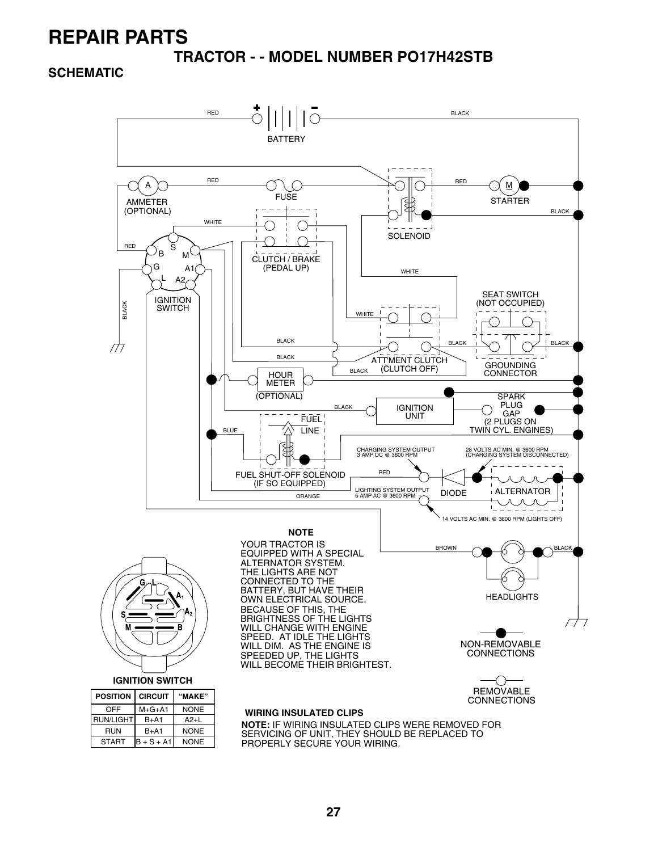$\overline{STAT}$   $B + S + A1$ 

NONE

**TRACTOR - - MODEL NUMBER PO17H42STB**

#### **SCHEMATIC**



SERVICING OF UNIT, THEY SHOULD BE REPLACED TO PROPERLY SECURE YOUR WIRING.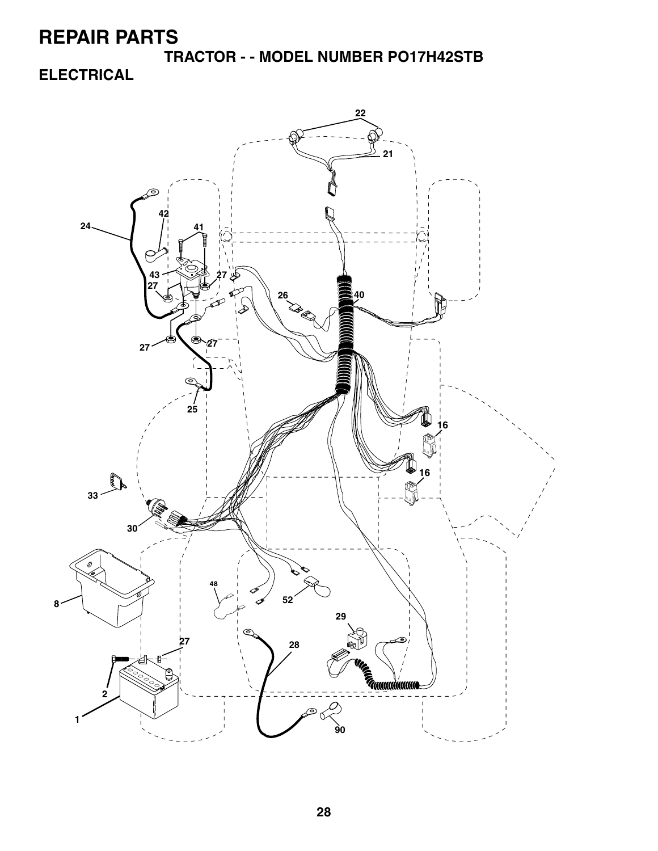**TRACTOR - - MODEL NUMBER PO17H42STB**

**ELECTRICAL**

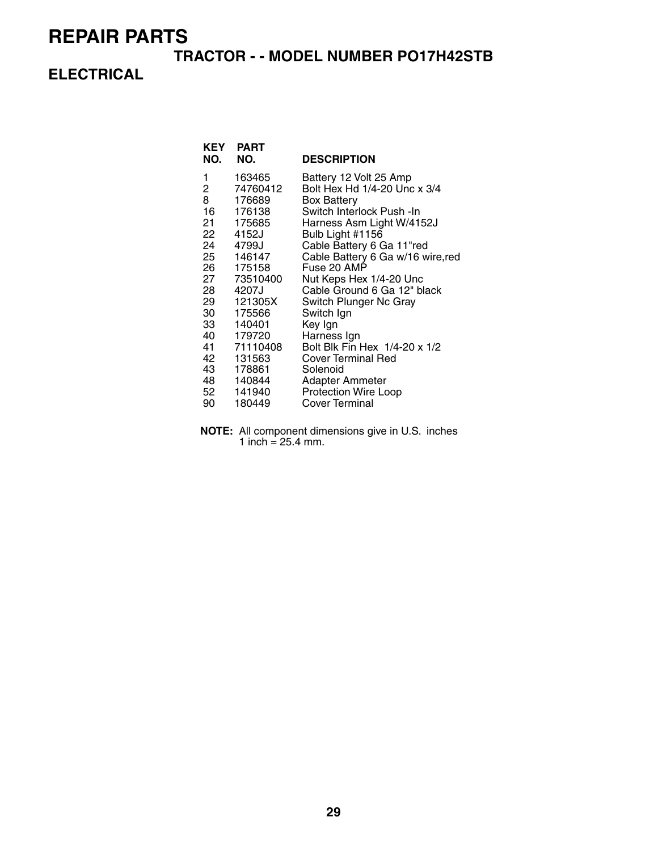#### **TRACTOR - - MODEL NUMBER PO17H42STB**

#### **ELECTRICAL**

| <b>KEY</b><br>NO.                                                                                                  | <b>PART</b><br>NO.                                                                                                                                                                                       | <b>DESCRIPTION</b>                                                                                                                                                                                                                                                                                                                                                                                                                                                                                  |
|--------------------------------------------------------------------------------------------------------------------|----------------------------------------------------------------------------------------------------------------------------------------------------------------------------------------------------------|-----------------------------------------------------------------------------------------------------------------------------------------------------------------------------------------------------------------------------------------------------------------------------------------------------------------------------------------------------------------------------------------------------------------------------------------------------------------------------------------------------|
| 1<br>2<br>8<br>16<br>21.<br>22<br>24<br>25<br>26<br>27<br>28<br>29<br>30<br>33<br>40<br>41<br>42<br>43<br>48<br>52 | 163465<br>74760412<br>176689<br>176138<br>175685<br>4152J<br>4799J<br>146147<br>175158<br>73510400<br>4207J<br>121305X<br>175566<br>140401<br>179720<br>71110408<br>131563<br>178861<br>140844<br>141940 | Battery 12 Volt 25 Amp<br>Bolt Hex Hd 1/4-20 Unc x 3/4<br><b>Box Battery</b><br>Switch Interlock Push -In<br>Harness Asm Light W/4152J<br>Bulb Light #1156<br>Cable Battery 6 Ga 11"red<br>Cable Battery 6 Ga w/16 wire, red<br>Fuse 20 AMP<br>Nut Keps Hex 1/4-20 Unc<br>Cable Ground 6 Ga 12" black<br>Switch Plunger Nc Gray<br>Switch Ign<br>Key Ign<br>Harness Ign<br>Bolt Blk Fin Hex 1/4-20 x 1/2<br><b>Cover Terminal Red</b><br>Solenoid<br>Adapter Ammeter<br><b>Protection Wire Loop</b> |
| 90                                                                                                                 | 180449                                                                                                                                                                                                   | Cover Terminal                                                                                                                                                                                                                                                                                                                                                                                                                                                                                      |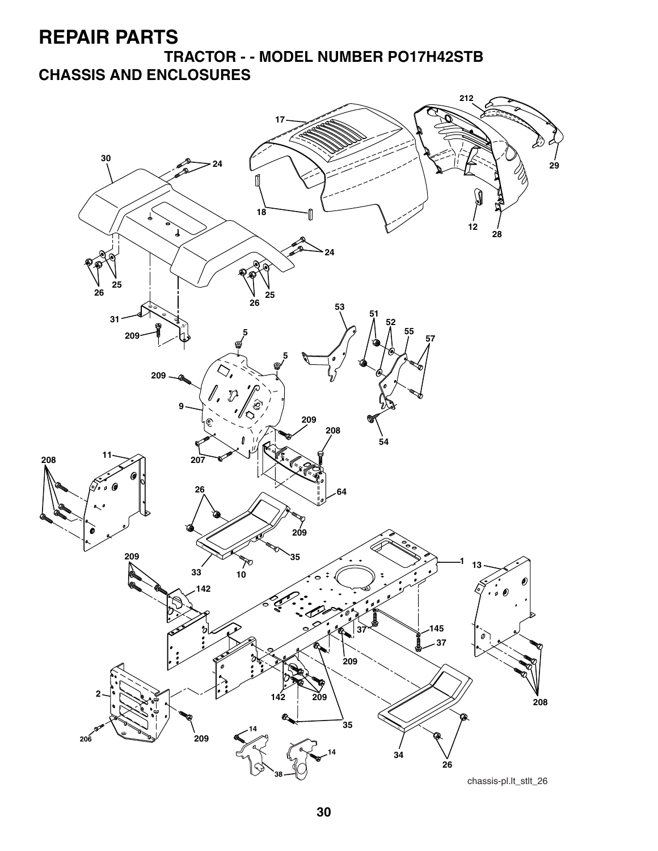**TRACTOR - - MODEL NUMBER PO17H42STB CHASSIS AND ENCLOSURES**

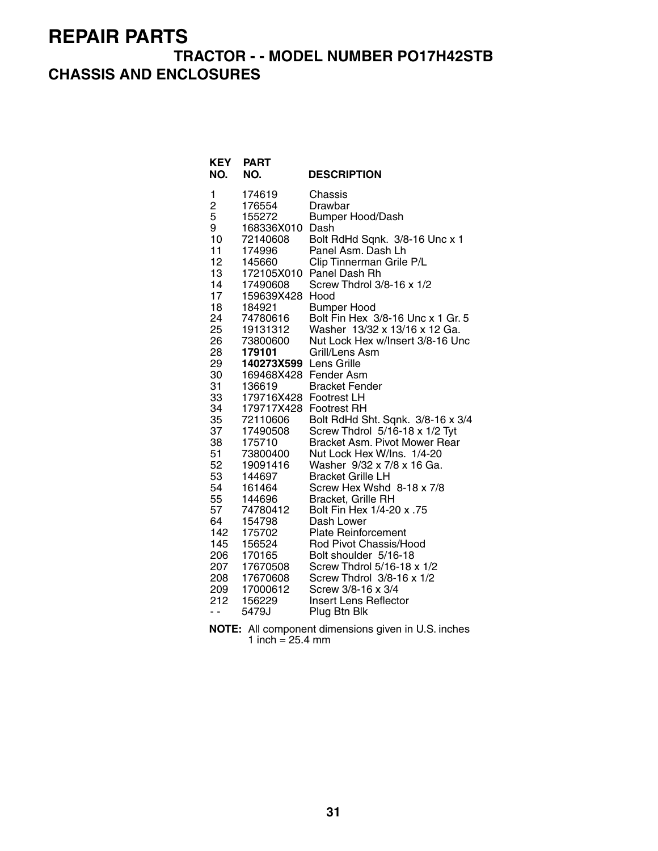#### **TRACTOR - - MODEL NUMBER PO17H42STB CHASSIS AND ENCLOSURES**

| <b>KEY</b><br>NO.                                                                                                                                                                                                                          | <b>PART</b><br>NO.                                                                                                                                                                                                                                                                                                                                                                                                                   | <b>DESCRIPTION</b>                                                                                                                                                                                                                                                                                                                                                                                                                                                                                                                                                                                                                                                                                                                                                                                                                                                                                                                                  |
|--------------------------------------------------------------------------------------------------------------------------------------------------------------------------------------------------------------------------------------------|--------------------------------------------------------------------------------------------------------------------------------------------------------------------------------------------------------------------------------------------------------------------------------------------------------------------------------------------------------------------------------------------------------------------------------------|-----------------------------------------------------------------------------------------------------------------------------------------------------------------------------------------------------------------------------------------------------------------------------------------------------------------------------------------------------------------------------------------------------------------------------------------------------------------------------------------------------------------------------------------------------------------------------------------------------------------------------------------------------------------------------------------------------------------------------------------------------------------------------------------------------------------------------------------------------------------------------------------------------------------------------------------------------|
| 1<br>$\overline{c}$<br>5<br>9<br>10<br>11<br>12<br>13<br>14<br>17<br>18<br>24<br>25<br>26<br>28<br>29<br>30<br>31<br>33<br>34<br>35<br>37<br>38<br>51<br>52<br>53<br>54<br>55<br>57<br>64<br>142<br>145<br>206<br>207<br>208<br>209<br>212 | 174619<br>176554<br>155272<br>168336X010<br>72140608<br>174996<br>145660<br>172105X010<br>17490608<br>159639X428<br>184921<br>74780616<br>19131312<br>73800600<br>179101<br>140273X599<br>169468X428<br>136619<br>179716X428<br>179717X428<br>72110606<br>17490508<br>175710<br>73800400<br>19091416<br>144697<br>161464<br>144696<br>74780412<br>154798<br>175702<br>156524<br>170165<br>17670508<br>17670608<br>17000612<br>156229 | Chassis<br>Drawbar<br><b>Bumper Hood/Dash</b><br>Dash<br>Bolt RdHd Sqnk. 3/8-16 Unc x 1<br>Panel Asm. Dash Lh<br>Clip Tinnerman Grile P/L<br>Panel Dash Rh<br>Screw Thdrol 3/8-16 x 1/2<br>Hood<br><b>Bumper Hood</b><br>Bolt Fin Hex 3/8-16 Unc x 1 Gr. 5<br>Washer 13/32 x 13/16 x 12 Ga.<br>Nut Lock Hex w/Insert 3/8-16 Unc<br>Grill/Lens Asm<br>Lens Grille<br>Fender Asm<br><b>Bracket Fender</b><br><b>Footrest LH</b><br><b>Footrest RH</b><br>Bolt RdHd Sht. Sqnk. 3/8-16 x 3/4<br>Screw Thdrol 5/16-18 x 1/2 Tyt<br>Bracket Asm. Pivot Mower Rear<br>Nut Lock Hex W/Ins. 1/4-20<br>Washer 9/32 x 7/8 x 16 Ga.<br><b>Bracket Grille LH</b><br>Screw Hex Wshd 8-18 x 7/8<br><b>Bracket, Grille RH</b><br>Bolt Fin Hex 1/4-20 x .75<br>Dash Lower<br><b>Plate Reinforcement</b><br>Rod Pivot Chassis/Hood<br>Bolt shoulder 5/16-18<br>Screw Thdrol 5/16-18 x 1/2<br>Screw Thdrol 3/8-16 x 1/2<br>Screw 3/8-16 x 3/4<br>Insert Lens Reflector |
| - -                                                                                                                                                                                                                                        | 5479J                                                                                                                                                                                                                                                                                                                                                                                                                                | Plug Btn Blk                                                                                                                                                                                                                                                                                                                                                                                                                                                                                                                                                                                                                                                                                                                                                                                                                                                                                                                                        |

| <b>NOTE:</b> All component dimensions given in U.S. inches |
|------------------------------------------------------------|
| 1 inch = $25.4 \text{ mm}$                                 |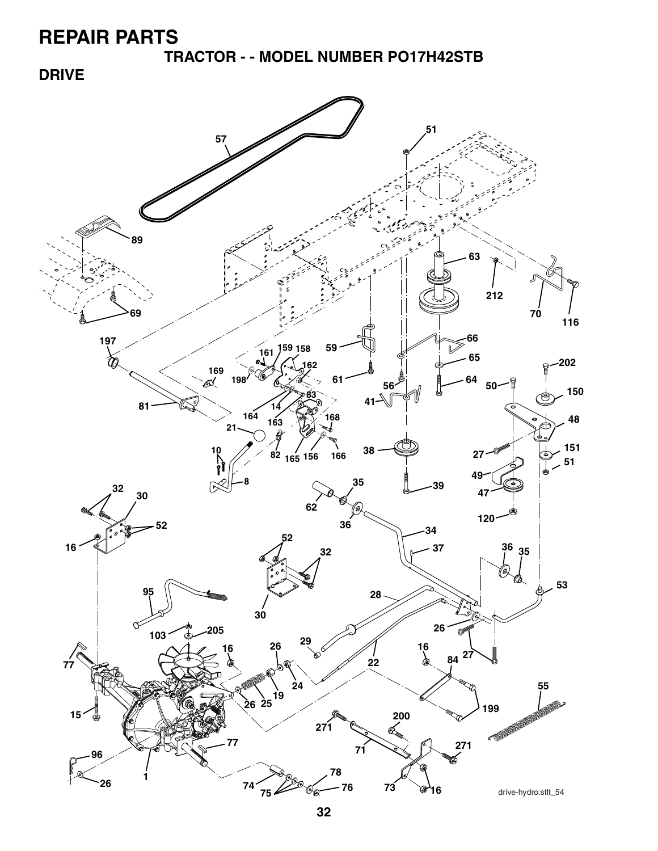**TRACTOR - - MODEL NUMBER PO17H42STB**

#### **DRIVE**

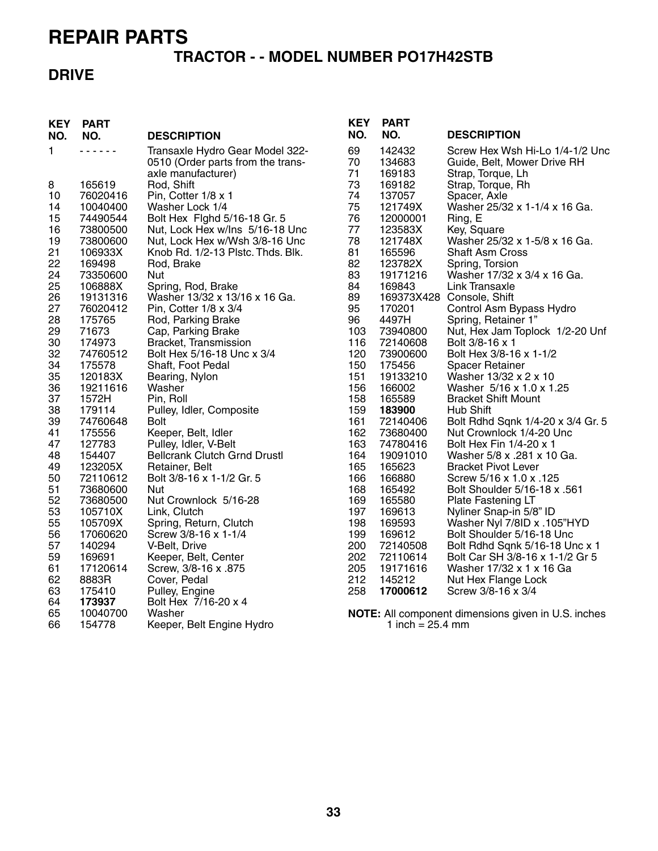#### **TRACTOR - - MODEL NUMBER PO17H42STB**

#### **DRIVE**

| <b>KEY</b><br>NO. | <b>PART</b><br>NO.  | <b>DESCRIPTION</b>                                                   | <b>KEY</b><br>NO. | <b>PART</b><br>NO.         | <b>DESCRIPTION</b>                                                |
|-------------------|---------------------|----------------------------------------------------------------------|-------------------|----------------------------|-------------------------------------------------------------------|
| 1.                | .                   | Transaxle Hydro Gear Model 322-<br>0510 (Order parts from the trans- | 69<br>70          | 142432<br>134683           | Screw Hex Wsh Hi-Lo 1/4-1/2 Unc<br>Guide, Belt, Mower Drive RH    |
|                   |                     | axle manufacturer)                                                   | 71                | 169183                     | Strap, Torque, Lh                                                 |
| 8                 | 165619              | Rod, Shift                                                           | 73                | 169182                     | Strap, Torque, Rh                                                 |
| 10                | 76020416            | Pin, Cotter 1/8 x 1                                                  | 74                | 137057                     | Spacer, Axle                                                      |
| 14                | 10040400            | Washer Lock 1/4                                                      | 75                | 121749X                    | Washer 25/32 x 1-1/4 x 16 Ga.                                     |
| 15                | 74490544            | Bolt Hex Fighd 5/16-18 Gr. 5                                         | 76                | 12000001                   | Ring, E                                                           |
| 16                | 73800500            | Nut, Lock Hex w/Ins 5/16-18 Unc                                      | 77                | 123583X                    | Key, Square                                                       |
| 19<br>21          | 73800600<br>106933X | Nut, Lock Hex w/Wsh 3/8-16 Unc<br>Knob Rd. 1/2-13 Plstc. Thds. Blk.  | 78<br>81          | 121748X<br>165596          | Washer 25/32 x 1-5/8 x 16 Ga.<br><b>Shaft Asm Cross</b>           |
| 22                | 169498              | Rod, Brake                                                           | 82                | 123782X                    | Spring, Torsion                                                   |
| 24                | 73350600            | <b>Nut</b>                                                           | 83                | 19171216                   | Washer 17/32 x 3/4 x 16 Ga.                                       |
| 25                | 106888X             | Spring, Rod, Brake                                                   | 84                | 169843                     | Link Transaxle                                                    |
| 26                | 19131316            | Washer 13/32 x 13/16 x 16 Ga.                                        | 89                |                            | 169373X428 Console, Shift                                         |
| 27                | 76020412            | Pin, Cotter 1/8 x 3/4                                                | 95                | 170201                     | Control Asm Bypass Hydro                                          |
| 28                | 175765              | Rod, Parking Brake                                                   | 96                | 4497H                      | Spring, Retainer 1"                                               |
| 29                | 71673               | Cap, Parking Brake                                                   | 103               | 73940800                   | Nut, Hex Jam Toplock 1/2-20 Unf                                   |
| 30                | 174973              | Bracket, Transmission                                                | 116               | 72140608                   | Bolt 3/8-16 x 1                                                   |
| 32                | 74760512            | Bolt Hex 5/16-18 Unc x 3/4                                           | 120               | 73900600                   | Bolt Hex 3/8-16 x 1-1/2                                           |
| 34                | 175578              | Shaft, Foot Pedal                                                    | 150               | 175456                     | <b>Spacer Retainer</b>                                            |
| 35                | 120183X             | Bearing, Nylon                                                       | 151               | 19133210                   | Washer 13/32 x 2 x 10                                             |
| 36                | 19211616            | Washer                                                               | 156               | 166002                     | Washer 5/16 x 1.0 x 1.25                                          |
| 37<br>38          | 1572H<br>179114     | Pin, Roll<br>Pulley, Idler, Composite                                | 158<br>159        | 165589<br>183900           | <b>Bracket Shift Mount</b><br>Hub Shift                           |
| 39                | 74760648            | <b>Bolt</b>                                                          | 161               | 72140406                   | Bolt Rdhd Sqnk 1/4-20 x 3/4 Gr. 5                                 |
| 41                | 175556              | Keeper, Belt, Idler                                                  | 162               | 73680400                   | Nut Crownlock 1/4-20 Unc                                          |
| 47                | 127783              | Pulley, Idler, V-Belt                                                | 163               | 74780416                   | Bolt Hex Fin 1/4-20 x 1                                           |
| 48                | 154407              | <b>Bellcrank Clutch Grnd Drustl</b>                                  | 164               | 19091010                   | Washer 5/8 x .281 x 10 Ga.                                        |
| 49                | 123205X             | Retainer, Belt                                                       | 165               | 165623                     | <b>Bracket Pivot Lever</b>                                        |
| 50                | 72110612            | Bolt 3/8-16 x 1-1/2 Gr. 5                                            | 166               | 166880                     | Screw 5/16 x 1.0 x .125                                           |
| 51                | 73680600            | Nut                                                                  | 168               | 165492                     | Bolt Shoulder 5/16-18 x .561                                      |
| 52                | 73680500            | Nut Crownlock 5/16-28                                                | 169               | 165580                     | Plate Fastening LT                                                |
| 53                | 105710X             | Link, Clutch                                                         | 197               | 169613                     | Nyliner Snap-in 5/8" ID                                           |
| 55                | 105709X             | Spring, Return, Clutch                                               | 198               | 169593                     | Washer Nyl 7/8ID x .105"HYD                                       |
| 56                | 17060620            | Screw 3/8-16 x 1-1/4                                                 | 199               | 169612                     | Bolt Shoulder 5/16-18 Unc                                         |
| 57<br>59          | 140294<br>169691    | V-Belt, Drive                                                        | 200<br>202        | 72140508<br>72110614       | Bolt Rdhd Sqnk 5/16-18 Unc x 1<br>Bolt Car SH 3/8-16 x 1-1/2 Gr 5 |
| 61                | 17120614            | Keeper, Belt, Center<br>Screw, 3/8-16 x .875                         | 205               | 19171616                   | Washer 17/32 x 1 x 16 Ga                                          |
| 62                | 8883R               | Cover, Pedal                                                         | 212               | 145212                     | Nut Hex Flange Lock                                               |
| 63                | 175410              | Pulley, Engine                                                       | 258               | 17000612                   | Screw 3/8-16 x 3/4                                                |
| 64                | 173937              | Bolt Hex 7/16-20 x 4                                                 |                   |                            |                                                                   |
| 65                | 10040700            | Washer                                                               |                   |                            | NOTE: All component dimensions given in U.S. inches               |
| 66                | 154778              | Keeper, Belt Engine Hydro                                            |                   | 1 inch = $25.4 \text{ mm}$ |                                                                   |
|                   |                     |                                                                      |                   |                            |                                                                   |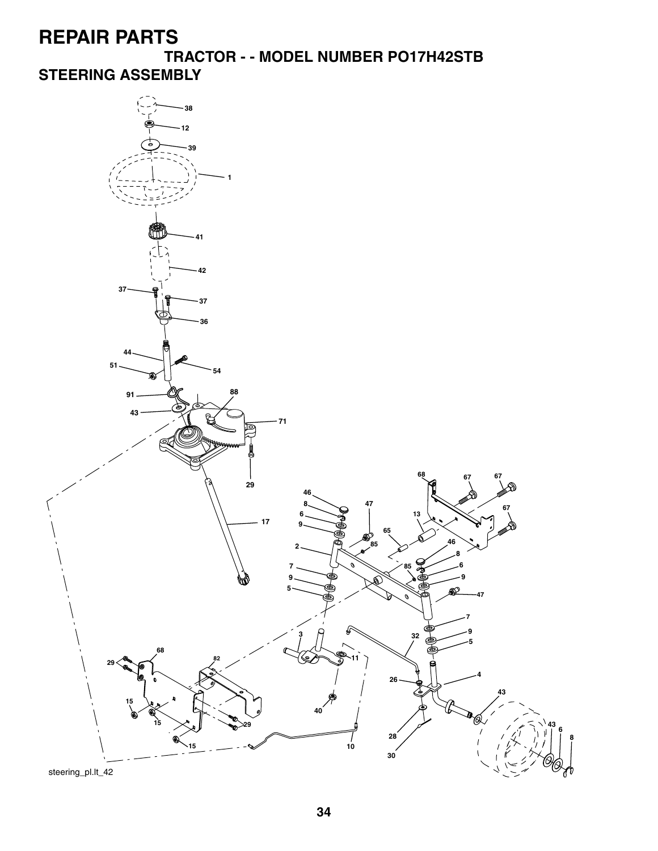**TRACTOR - - MODEL NUMBER PO17H42STB**

**STEERING ASSEMBLY**

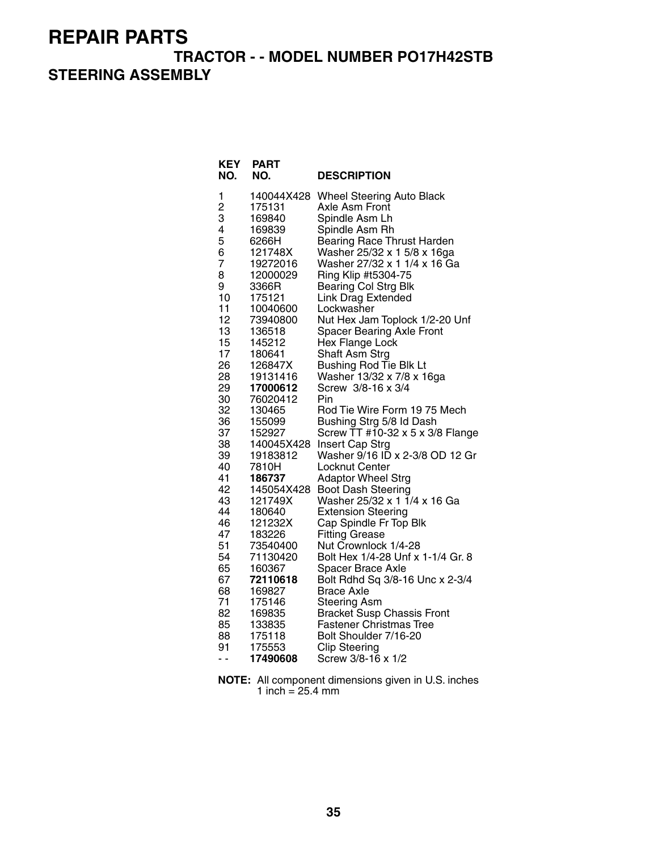#### **TRACTOR - - MODEL NUMBER PO17H42STB STEERING ASSEMBLY**

| <b>KEY</b><br>NO.   | <b>PART</b><br>NO.   | <b>DESCRIPTION</b>                                     |
|---------------------|----------------------|--------------------------------------------------------|
| 1<br>$\overline{c}$ | 140044X428<br>175131 | <b>Wheel Steering Auto Black</b><br>Axle Asm Front     |
| 3                   | 169840               | Spindle Asm Lh                                         |
| 4                   | 169839               | Spindle Asm Rh                                         |
| 5                   | 6266H                | Bearing Race Thrust Harden                             |
| 6                   | 121748X              | Washer 25/32 x 1 5/8 x 16ga                            |
| 7                   | 19272016             | Washer 27/32 x 1 1/4 x 16 Ga                           |
| 8                   | 12000029             | Ring Klip #t5304-75                                    |
| 9                   | 3366R                | <b>Bearing Col Strg Blk</b>                            |
| 10                  | 175121               | <b>Link Drag Extended</b>                              |
| 11                  | 10040600             | Lockwasher                                             |
| 12                  | 73940800             | Nut Hex Jam Toplock 1/2-20 Unf                         |
| 13                  | 136518               | <b>Spacer Bearing Axle Front</b>                       |
| 15<br>17            | 145212               | Hex Flange Lock                                        |
| 26                  | 180641<br>126847X    | Shaft Asm Strg<br><b>Bushing Rod Tie Blk Lt</b>        |
| 28                  | 19131416             | Washer 13/32 x 7/8 x 16ga                              |
| 29                  | 17000612             | Screw 3/8-16 x 3/4                                     |
| 30                  | 76020412             | Pin                                                    |
| 32                  | 130465               | Rod Tie Wire Form 19 75 Mech                           |
| 36                  | 155099               | Bushing Strg 5/8 Id Dash                               |
| 37                  | 152927               | Screw TT #10-32 x 5 x 3/8 Flange                       |
| 38                  | 140045X428           | Insert Cap Strg                                        |
| 39                  | 19183812             | Washer 9/16 ID x 2-3/8 OD 12 Gr                        |
| 40                  | 7810H                | Locknut Center                                         |
| 41<br>42            | 186737<br>145054X428 | <b>Adaptor Wheel Strg</b><br><b>Boot Dash Steering</b> |
| 43                  | 121749X              | Washer 25/32 x 1 1/4 x 16 Ga                           |
| 44                  | 180640               | <b>Extension Steering</b>                              |
| 46                  | 121232X              | Cap Spindle Fr Top Blk                                 |
| 47                  | 183226               | <b>Fitting Grease</b>                                  |
| 51                  | 73540400             | Nut Crownlock 1/4-28                                   |
| 54                  | 71130420             | Bolt Hex 1/4-28 Unf x 1-1/4 Gr. 8                      |
| 65                  | 160367               | Spacer Brace Axle                                      |
| 67                  | 72110618             | Bolt Rdhd Sq 3/8-16 Unc x 2-3/4                        |
| 68<br>71            | 169827<br>175146     | Brace Axle<br>Steering Asm                             |
| 82                  | 169835               | <b>Bracket Susp Chassis Front</b>                      |
| 85                  | 133835               | <b>Fastener Christmas Tree</b>                         |
| 88                  | 175118               | Bolt Shoulder 7/16-20                                  |
| 91                  | 175553               | <b>Clip Steering</b>                                   |
| - -                 | 17490608             | Screw 3/8-16 x 1/2                                     |
|                     |                      |                                                        |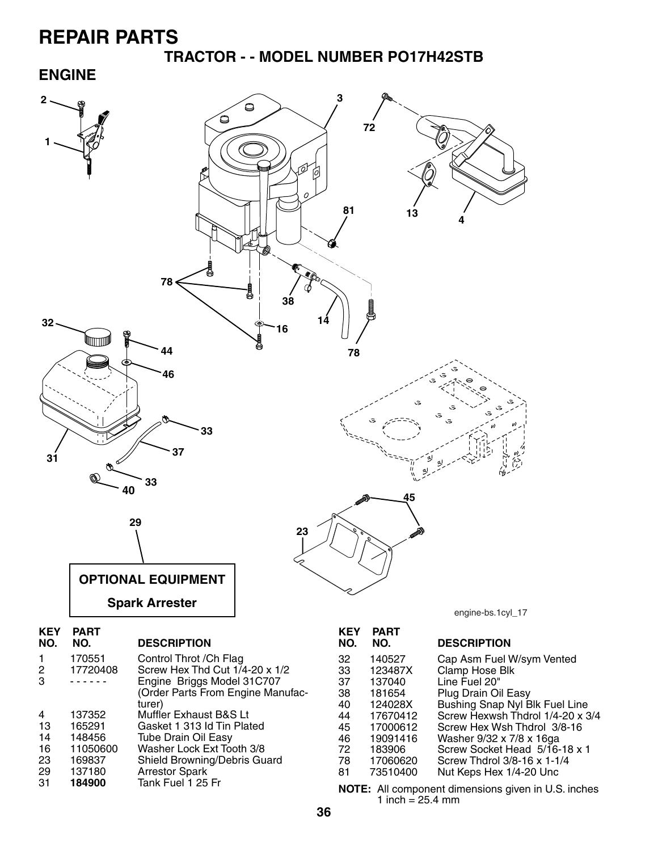**TRACTOR - - MODEL NUMBER PO17H42STB**

#### **ENGINE**



| 1<br>2<br>3 | 170551<br>17720408<br>$\frac{1}{2} \left( \frac{1}{2} \right) \left( \frac{1}{2} \right) \left( \frac{1}{2} \right) \left( \frac{1}{2} \right) \left( \frac{1}{2} \right) \left( \frac{1}{2} \right)$ | Control Throt / Ch Flag<br>Screw Hex Thd Cut 1/4-20 x 1/2<br>Engine Briggs Model 31C707<br>(Order Parts From Engine Manufac-<br>turer) |
|-------------|-------------------------------------------------------------------------------------------------------------------------------------------------------------------------------------------------------|----------------------------------------------------------------------------------------------------------------------------------------|
| 4           | 137352                                                                                                                                                                                                | Muffler Exhaust B&S Lt                                                                                                                 |
| 13          | 165291                                                                                                                                                                                                | Gasket 1 313 ld Tin Plated                                                                                                             |
| 14          | 148456                                                                                                                                                                                                | <b>Tube Drain Oil Easy</b>                                                                                                             |
| 16          | 11050600                                                                                                                                                                                              | Washer Lock Ext Tooth 3/8                                                                                                              |
| 23          | 169837                                                                                                                                                                                                | Shield Browning/Debris Guard                                                                                                           |
| 29          | 137180                                                                                                                                                                                                | <b>Arrestor Spark</b>                                                                                                                  |
| 31          | 184900                                                                                                                                                                                                | Tank Fuel 1 25 Fr                                                                                                                      |
|             |                                                                                                                                                                                                       |                                                                                                                                        |

| 32<br>33 | 140527<br>123487X | Cap Asm Fuel W/sym Vented<br>Clamp Hose Blk |
|----------|-------------------|---------------------------------------------|
| 37       | 137040            | Line Fuel 20"                               |
| 38       | 181654            | Plug Drain Oil Easy                         |
| 40       | 124028X           | Bushing Snap Nyl Blk Fuel Line              |
| 44       | 17670412          | Screw Hexwsh Thdrol 1/4-20 x 3/4            |
| 45       | 17000612          | Screw Hex Wsh Thdrol 3/8-16                 |
| 46       | 19091416          | Washer 9/32 x 7/8 x 16ga                    |
| 72       | 183906            | Screw Socket Head 5/16-18 x 1               |
| 78       | 17060620          | Screw Thdrol 3/8-16 x 1-1/4                 |
| 81       | 73510400          | Nut Keps Hex 1/4-20 Unc                     |
|          |                   |                                             |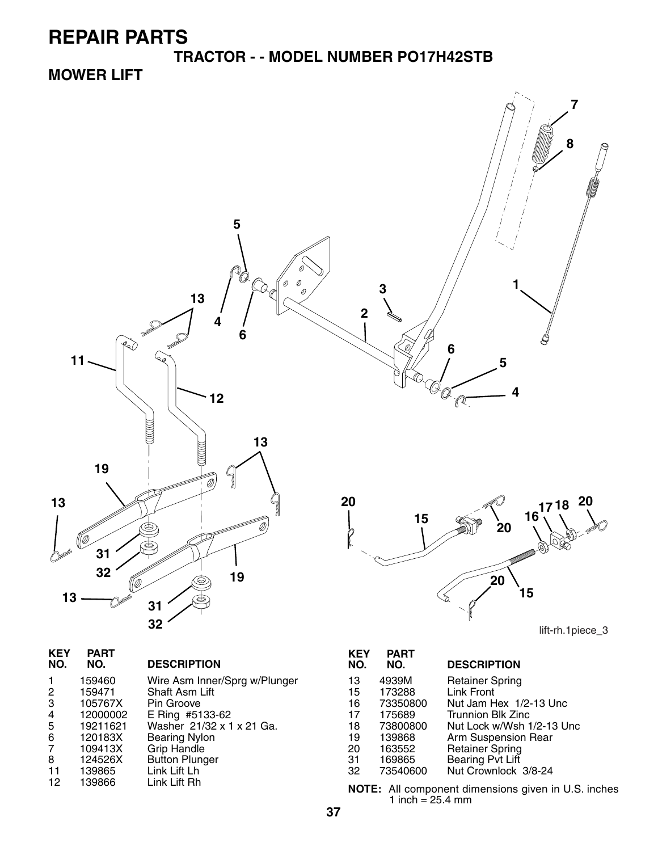# **TRACTOR - - MODEL NUMBER PO17H42STB**





| IV.            | IVJ.     | <b>DEJUNIF HUN</b>            |
|----------------|----------|-------------------------------|
| 1              | 159460   | Wire Asm Inner/Sprg w/Plunger |
| $\overline{c}$ | 159471   | Shaft Asm Lift                |
| 3              | 105767X  | Pin Groove                    |
| 4              | 12000002 | E Ring #5133-62               |
| 5              | 19211621 | Washer 21/32 x 1 x 21 Ga.     |
| 6.             | 120183X  | <b>Bearing Nylon</b>          |
| 7              | 109413X  | <b>Grip Handle</b>            |
| 8              | 124526X  | <b>Button Plunger</b>         |
| 11             | 139865   | Link Lift Lh                  |
| 12             | 139866   | Link Lift Rh                  |
|                |          |                               |

| .<br>NO. | .<br>NO. | <b>DESCRIPTION</b>        |
|----------|----------|---------------------------|
| 13       | 4939M    | <b>Retainer Spring</b>    |
| 15       | 173288   | <b>Link Front</b>         |
| 16       | 73350800 | Nut Jam Hex 1/2-13 Unc    |
| 17       | 175689   | <b>Trunnion Blk Zinc</b>  |
| 18       | 73800800 | Nut Lock w/Wsh 1/2-13 Unc |
| 19       | 139868   | Arm Suspension Rear       |
| 20       | 163552   | <b>Retainer Spring</b>    |
| 31       | 169865   | <b>Bearing Pvt Lift</b>   |
| 32       | 73540600 | Nut Crownlock 3/8-24      |
|          |          |                           |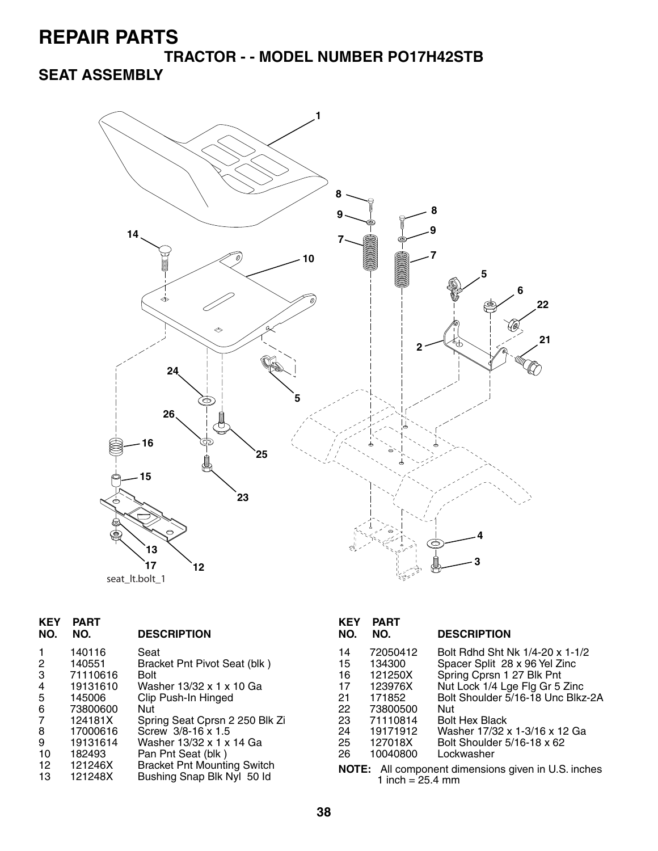**TRACTOR - - MODEL NUMBER PO17H42STB**

### **SEAT ASSEMBLY**



| <b>KEY</b><br>NO.                                       | <b>PART</b><br>NO.                                                                                | <b>DESCRIPTION</b>                                                                                                                                                                                       | <b>KEY</b><br>NO.                                  | <b>PART</b><br>NO.                                                                                | <b>DESCRIPTION</b>                                                                                                                                                                                                                                                         |
|---------------------------------------------------------|---------------------------------------------------------------------------------------------------|----------------------------------------------------------------------------------------------------------------------------------------------------------------------------------------------------------|----------------------------------------------------|---------------------------------------------------------------------------------------------------|----------------------------------------------------------------------------------------------------------------------------------------------------------------------------------------------------------------------------------------------------------------------------|
| $\mathbf{2}^{\circ}$<br>3<br>4<br>5<br>6<br>7<br>8<br>9 | 140116<br>140551<br>71110616<br>19131610<br>145006<br>73800600<br>124181X<br>17000616<br>19131614 | Seat<br>Bracket Pnt Pivot Seat (blk)<br><b>Bolt</b><br>Washer 13/32 x 1 x 10 Ga<br>Clip Push-In Hinged<br><b>Nut</b><br>Spring Seat Cprsn 2 250 Blk Zi<br>Screw 3/8-16 x 1.5<br>Washer 13/32 x 1 x 14 Ga | 14<br>15<br>16<br>17<br>21<br>22<br>23<br>24<br>25 | 72050412<br>134300<br>121250X<br>123976X<br>171852<br>73800500<br>71110814<br>19171912<br>127018X | Bolt Rdhd Sht Nk 1/4-20 x 1-1/2<br>Spacer Split 28 x 96 Yel Zinc<br>Spring Cprsn 1 27 Blk Pnt<br>Nut Lock 1/4 Lge Flg Gr 5 Zinc<br>Bolt Shoulder 5/16-18 Unc Blkz-2A<br><b>Nut</b><br><b>Bolt Hex Black</b><br>Washer 17/32 x 1-3/16 x 12 Ga<br>Bolt Shoulder 5/16-18 x 62 |
| 10<br>12<br>13                                          | 182493<br>121246X<br>121248X                                                                      | Pan Pnt Seat (blk)<br><b>Bracket Pnt Mounting Switch</b><br>Bushing Snap Blk Nyl 50 ld                                                                                                                   | 26                                                 | 10040800<br>1 inch = $25.4$ mm                                                                    | Lockwasher<br><b>NOTE:</b> All component dimensions given in U.S. inches                                                                                                                                                                                                   |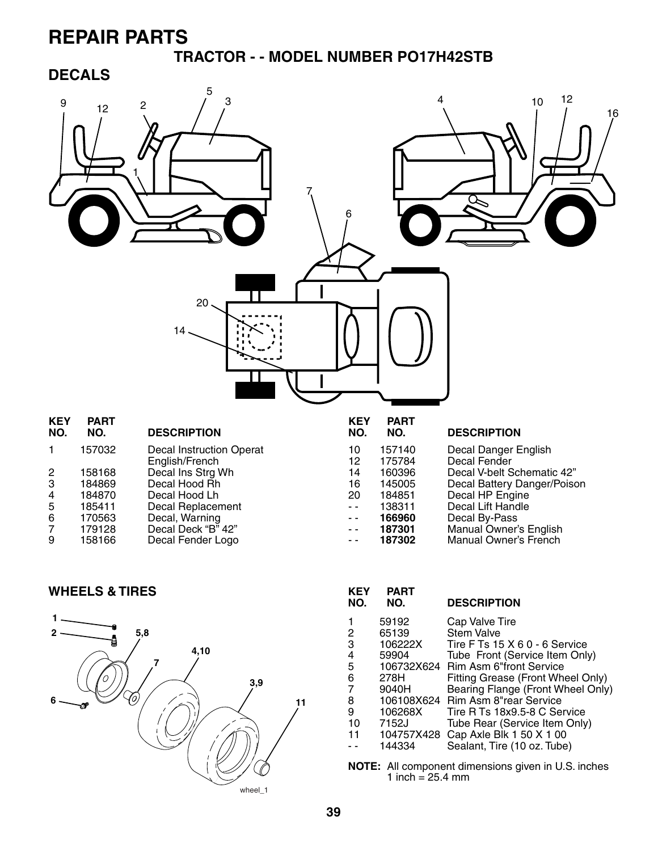#### **TRACTOR - - MODEL NUMBER PO17H42STB**

#### **DECALS**



- 5 185411 Decal Replacement<br>6 170563 Decal, Warning 6 170563 Decal, Warning
- 7 179128 Decal Deck "B" 42"<br>9 158166 Decal Fender Logo Decal Fender Logo

**WHEELS & TIRES** 



| <b>KEY</b><br>NO.                                                    | <b>PART</b><br>NO. | <b>DESCRIPTION</b>                 |  |  |
|----------------------------------------------------------------------|--------------------|------------------------------------|--|--|
|                                                                      | 59192              | Cap Valve Tire                     |  |  |
| 2                                                                    | 65139              | <b>Stem Valve</b>                  |  |  |
| 3                                                                    | 106222X            | Tire F Ts 15 X 6 0 - 6 Service     |  |  |
| 4                                                                    | 59904              | Tube Front (Service Item Only)     |  |  |
| 5                                                                    |                    | 106732X624 Rim Asm 6"front Service |  |  |
| 6                                                                    | 278H               | Fitting Grease (Front Wheel Only)  |  |  |
| 7                                                                    | 9040H              | Bearing Flange (Front Wheel Only)  |  |  |
| 8                                                                    |                    | 106108X624 Rim Asm 8"rear Service  |  |  |
| 9                                                                    | 106268X            | Tire R Ts 18x9.5-8 C Service       |  |  |
| 10                                                                   | 7152J              | Tube Rear (Service Item Only)      |  |  |
| 11                                                                   | 104757X428         | Cap Axle Blk 1 50 X 1 00           |  |  |
|                                                                      | 144334             | Sealant, Tire (10 oz. Tube)        |  |  |
| $MATE: All common on the domain of the line is 11C in the equation.$ |                    |                                    |  |  |

187301 Manual Owner's English<br>187302 Manual Owner's French - - **187302** Manual Owner's French

- - **166960** Decal By-Pass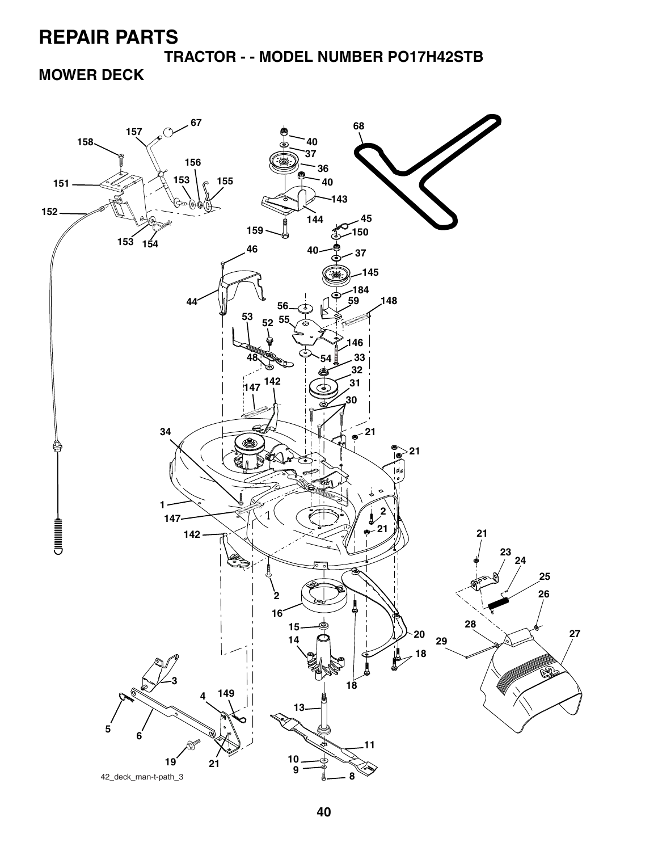**TRACTOR - - MODEL NUMBER PO17H42STB**

**MOWER DECK**